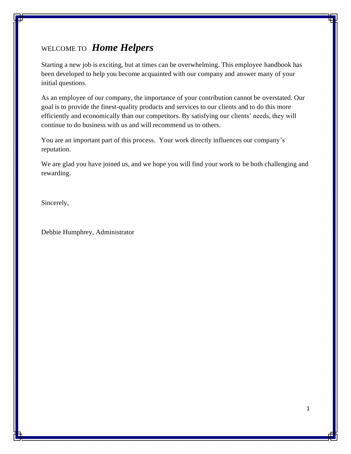# WELCOME TO *Home Helpers*

Starting a new job is exciting, but at times can be overwhelming. This employee handbook has been developed to help you become acquainted with our company and answer many of your initial questions.

As an employee of our company, the importance of your contribution cannot be overstated. Our goal is to provide the finest-quality products and services to our clients and to do this more efficiently and economically than our competitors. By satisfying our clients' needs, they will continue to do business with us and will recommend us to others.

You are an important part of this process. Your work directly influences our company's reputation.

We are glad you have joined us, and we hope you will find your work to be both challenging and rewarding.

Sincerely,

Debbie Humphrey, Administrator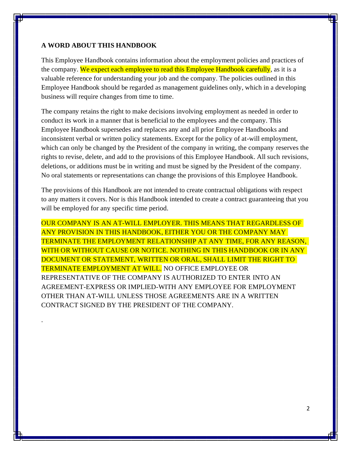### **A WORD ABOUT THIS HANDBOOK**

.

This Employee Handbook contains information about the employment policies and practices of the company. We expect each employee to read this Employee Handbook carefully, as it is a valuable reference for understanding your job and the company. The policies outlined in this Employee Handbook should be regarded as management guidelines only, which in a developing business will require changes from time to time.

The company retains the right to make decisions involving employment as needed in order to conduct its work in a manner that is beneficial to the employees and the company. This Employee Handbook supersedes and replaces any and all prior Employee Handbooks and inconsistent verbal or written policy statements. Except for the policy of at-will employment, which can only be changed by the President of the company in writing, the company reserves the rights to revise, delete, and add to the provisions of this Employee Handbook. All such revisions, deletions, or additions must be in writing and must be signed by the President of the company. No oral statements or representations can change the provisions of this Employee Handbook.

The provisions of this Handbook are not intended to create contractual obligations with respect to any matters it covers. Nor is this Handbook intended to create a contract guaranteeing that you will be employed for any specific time period.

OUR COMPANY IS AN AT-WILL EMPLOYER. THIS MEANS THAT REGARDLESS OF ANY PROVISION IN THIS HANDBOOK, EITHER YOU OR THE COMPANY MAY TERMINATE THE EMPLOYMENT RELATIONSHIP AT ANY TIME, FOR ANY REASON, WITH OR WITHOUT CAUSE OR NOTICE. NOTHING IN THIS HANDBOOK OR IN ANY DOCUMENT OR STATEMENT, WRITTEN OR ORAL, SHALL LIMIT THE RIGHT TO TERMINATE EMPLOYMENT AT WILL. NO OFFICE EMPLOYEE OR REPRESENTATIVE OF THE COMPANY IS AUTHORIZED TO ENTER INTO AN AGREEMENT-EXPRESS OR IMPLIED-WITH ANY EMPLOYEE FOR EMPLOYMENT OTHER THAN AT-WILL UNLESS THOSE AGREEMENTS ARE IN A WRITTEN CONTRACT SIGNED BY THE PRESIDENT OF THE COMPANY.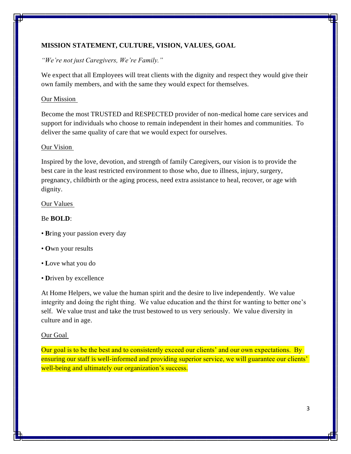# **MISSION STATEMENT, CULTURE, VISION, VALUES, GOAL**

# *"We're not just Caregivers, We're Family."*

We expect that all Employees will treat clients with the dignity and respect they would give their own family members, and with the same they would expect for themselves.

# Our Mission

Become the most TRUSTED and RESPECTED provider of non-medical home care services and support for individuals who choose to remain independent in their homes and communities. To deliver the same quality of care that we would expect for ourselves.

### Our Vision

Inspired by the love, devotion, and strength of family Caregivers, our vision is to provide the best care in the least restricted environment to those who, due to illness, injury, surgery, pregnancy, childbirth or the aging process, need extra assistance to heal, recover, or age with dignity.

# Our Values

# Be **BOLD**:

- **B**ring your passion every day
- **O**wn your results
- **L**ove what you do
- **D**riven by excellence

At Home Helpers, we value the human spirit and the desire to live independently. We value integrity and doing the right thing. We value education and the thirst for wanting to better one's self. We value trust and take the trust bestowed to us very seriously. We value diversity in culture and in age.

### Our Goal

Our goal is to be the best and to consistently exceed our clients' and our own expectations. By ensuring our staff is well-informed and providing superior service, we will guarantee our clients' well-being and ultimately our organization's success.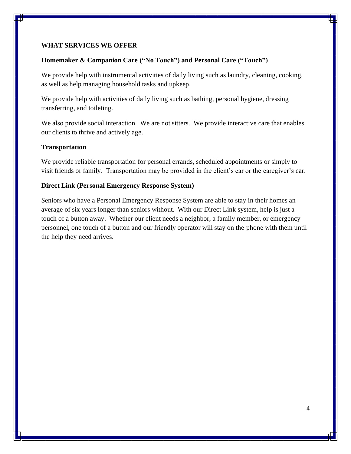### **WHAT SERVICES WE OFFER**

### **Homemaker & Companion Care ("No Touch") and Personal Care ("Touch")**

We provide help with instrumental activities of daily living such as laundry, cleaning, cooking, as well as help managing household tasks and upkeep.

We provide help with activities of daily living such as bathing, personal hygiene, dressing transferring, and toileting.

We also provide social interaction. We are not sitters. We provide interactive care that enables our clients to thrive and actively age.

#### **Transportation**

We provide reliable transportation for personal errands, scheduled appointments or simply to visit friends or family. Transportation may be provided in the client's car or the caregiver's car.

#### **Direct Link (Personal Emergency Response System)**

Seniors who have a Personal Emergency Response System are able to stay in their homes an average of six years longer than seniors without. With our Direct Link system, help is just a touch of a button away. Whether our client needs a neighbor, a family member, or emergency personnel, one touch of a button and our friendly operator will stay on the phone with them until the help they need arrives.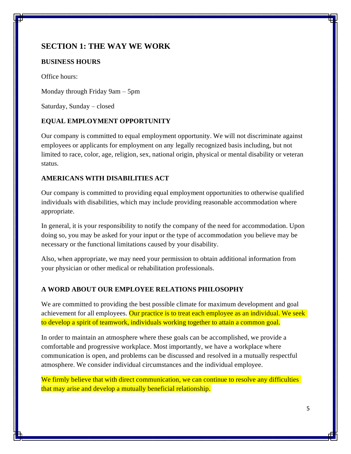# **SECTION 1: THE WAY WE WORK**

# **BUSINESS HOURS**

Office hours:

Monday through Friday 9am – 5pm

Saturday, Sunday – closed

# **EQUAL EMPLOYMENT OPPORTUNITY**

Our company is committed to equal employment opportunity. We will not discriminate against employees or applicants for employment on any legally recognized basis including, but not limited to race, color, age, religion, sex, national origin, physical or mental disability or veteran status.

# **AMERICANS WITH DISABILITIES ACT**

Our company is committed to providing equal employment opportunities to otherwise qualified individuals with disabilities, which may include providing reasonable accommodation where appropriate.

In general, it is your responsibility to notify the company of the need for accommodation. Upon doing so, you may be asked for your input or the type of accommodation you believe may be necessary or the functional limitations caused by your disability.

Also, when appropriate, we may need your permission to obtain additional information from your physician or other medical or rehabilitation professionals.

# **A WORD ABOUT OUR EMPLOYEE RELATIONS PHILOSOPHY**

We are committed to providing the best possible climate for maximum development and goal achievement for all employees. Our practice is to treat each employee as an individual. We seek to develop a spirit of teamwork, individuals working together to attain a common goal.

In order to maintain an atmosphere where these goals can be accomplished, we provide a comfortable and progressive workplace. Most importantly, we have a workplace where communication is open, and problems can be discussed and resolved in a mutually respectful atmosphere. We consider individual circumstances and the individual employee.

We firmly believe that with direct communication, we can continue to resolve any difficulties that may arise and develop a mutually beneficial relationship.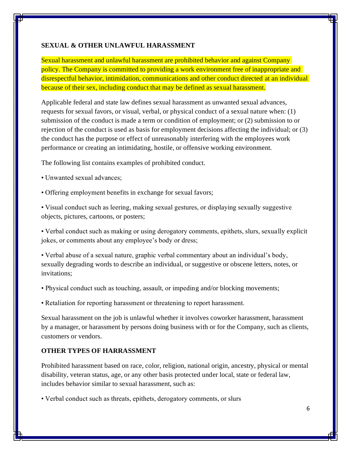### **SEXUAL & OTHER UNLAWFUL HARASSMENT**

Sexual harassment and unlawful harassment are prohibited behavior and against Company policy. The Company is committed to providing a work environment free of inappropriate and disrespectful behavior, intimidation, communications and other conduct directed at an individual because of their sex, including conduct that may be defined as sexual harassment.

Applicable federal and state law defines sexual harassment as unwanted sexual advances, requests for sexual favors, or visual, verbal, or physical conduct of a sexual nature when: (1) submission of the conduct is made a term or condition of employment; or (2) submission to or rejection of the conduct is used as basis for employment decisions affecting the individual; or (3) the conduct has the purpose or effect of unreasonably interfering with the employees work performance or creating an intimidating, hostile, or offensive working environment.

The following list contains examples of prohibited conduct.

- Unwanted sexual advances;
- Offering employment benefits in exchange for sexual favors;

• Visual conduct such as leering, making sexual gestures, or displaying sexually suggestive objects, pictures, cartoons, or posters;

• Verbal conduct such as making or using derogatory comments, epithets, slurs, sexually explicit jokes, or comments about any employee's body or dress;

• Verbal abuse of a sexual nature, graphic verbal commentary about an individual's body, sexually degrading words to describe an individual, or suggestive or obscene letters, notes, or invitations;

• Physical conduct such as touching, assault, or impeding and/or blocking movements;

• Retaliation for reporting harassment or threatening to report harassment.

Sexual harassment on the job is unlawful whether it involves coworker harassment, harassment by a manager, or harassment by persons doing business with or for the Company, such as clients, customers or vendors.

### **OTHER TYPES OF HARRASSMENT**

Prohibited harassment based on race, color, religion, national origin, ancestry, physical or mental disability, veteran status, age, or any other basis protected under local, state or federal law, includes behavior similar to sexual harassment, such as:

• Verbal conduct such as threats, epithets, derogatory comments, or slurs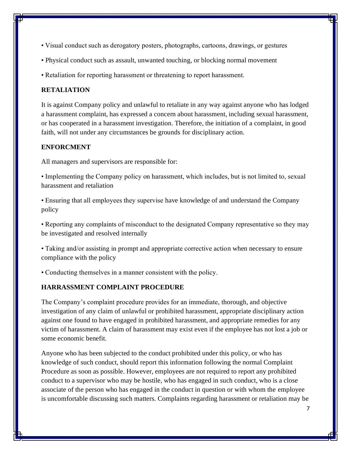- Visual conduct such as derogatory posters, photographs, cartoons, drawings, or gestures
- Physical conduct such as assault, unwanted touching, or blocking normal movement
- Retaliation for reporting harassment or threatening to report harassment.

### **RETALIATION**

It is against Company policy and unlawful to retaliate in any way against anyone who has lodged a harassment complaint, has expressed a concern about harassment, including sexual harassment, or has cooperated in a harassment investigation. Therefore, the initiation of a complaint, in good faith, will not under any circumstances be grounds for disciplinary action.

### **ENFORCMENT**

All managers and supervisors are responsible for:

• Implementing the Company policy on harassment, which includes, but is not limited to, sexual harassment and retaliation

• Ensuring that all employees they supervise have knowledge of and understand the Company policy

• Reporting any complaints of misconduct to the designated Company representative so they may be investigated and resolved internally

• Taking and/or assisting in prompt and appropriate corrective action when necessary to ensure compliance with the policy

• Conducting themselves in a manner consistent with the policy.

# **HARRASSMENT COMPLAINT PROCEDURE**

The Company's complaint procedure provides for an immediate, thorough, and objective investigation of any claim of unlawful or prohibited harassment, appropriate disciplinary action against one found to have engaged in prohibited harassment, and appropriate remedies for any victim of harassment. A claim of harassment may exist even if the employee has not lost a job or some economic benefit.

Anyone who has been subjected to the conduct prohibited under this policy, or who has knowledge of such conduct, should report this information following the normal Complaint Procedure as soon as possible. However, employees are not required to report any prohibited conduct to a supervisor who may be hostile, who has engaged in such conduct, who is a close associate of the person who has engaged in the conduct in question or with whom the employee is uncomfortable discussing such matters. Complaints regarding harassment or retaliation may be

7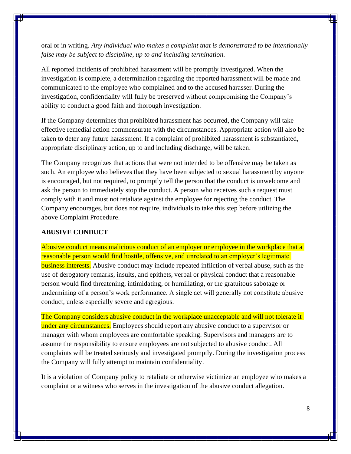oral or in writing. *Any individual who makes a complaint that is demonstrated to be intentionally false may be subject to discipline, up to and including termination.* 

All reported incidents of prohibited harassment will be promptly investigated. When the investigation is complete, a determination regarding the reported harassment will be made and communicated to the employee who complained and to the accused harasser. During the investigation, confidentiality will fully be preserved without compromising the Company's ability to conduct a good faith and thorough investigation.

If the Company determines that prohibited harassment has occurred, the Company will take effective remedial action commensurate with the circumstances. Appropriate action will also be taken to deter any future harassment. If a complaint of prohibited harassment is substantiated, appropriate disciplinary action, up to and including discharge, will be taken.

The Company recognizes that actions that were not intended to be offensive may be taken as such. An employee who believes that they have been subjected to sexual harassment by anyone is encouraged, but not required, to promptly tell the person that the conduct is unwelcome and ask the person to immediately stop the conduct. A person who receives such a request must comply with it and must not retaliate against the employee for rejecting the conduct. The Company encourages, but does not require, individuals to take this step before utilizing the above Complaint Procedure.

#### **ABUSIVE CONDUCT**

Abusive conduct means malicious conduct of an employer or employee in the workplace that a reasonable person would find hostile, offensive, and unrelated to an employer's legitimate **business interests.** Abusive conduct may include repeated infliction of verbal abuse, such as the use of derogatory remarks, insults, and epithets, verbal or physical conduct that a reasonable person would find threatening, intimidating, or humiliating, or the gratuitous sabotage or undermining of a person's work performance. A single act will generally not constitute abusive conduct, unless especially severe and egregious.

The Company considers abusive conduct in the workplace unacceptable and will not tolerate it under any circumstances. Employees should report any abusive conduct to a supervisor or manager with whom employees are comfortable speaking. Supervisors and managers are to assume the responsibility to ensure employees are not subjected to abusive conduct. All complaints will be treated seriously and investigated promptly. During the investigation process the Company will fully attempt to maintain confidentiality.

It is a violation of Company policy to retaliate or otherwise victimize an employee who makes a complaint or a witness who serves in the investigation of the abusive conduct allegation.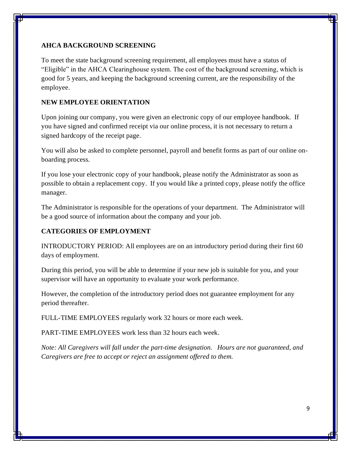# **AHCA BACKGROUND SCREENING**

To meet the state background screening requirement, all employees must have a status of "Eligible" in the AHCA Clearinghouse system. The cost of the background screening, which is good for 5 years, and keeping the background screening current, are the responsibility of the employee.

# **NEW EMPLOYEE ORIENTATION**

Upon joining our company, you were given an electronic copy of our employee handbook. If you have signed and confirmed receipt via our online process, it is not necessary to return a signed hardcopy of the receipt page.

You will also be asked to complete personnel, payroll and benefit forms as part of our online onboarding process.

If you lose your electronic copy of your handbook, please notify the Administrator as soon as possible to obtain a replacement copy. If you would like a printed copy, please notify the office manager.

The Administrator is responsible for the operations of your department. The Administrator will be a good source of information about the company and your job.

# **CATEGORIES OF EMPLOYMENT**

INTRODUCTORY PERIOD: All employees are on an introductory period during their first 60 days of employment.

During this period, you will be able to determine if your new job is suitable for you, and your supervisor will have an opportunity to evaluate your work performance.

However, the completion of the introductory period does not guarantee employment for any period thereafter.

FULL-TIME EMPLOYEES regularly work 32 hours or more each week.

PART-TIME EMPLOYEES work less than 32 hours each week.

*Note: All Caregivers will fall under the part-time designation. Hours are not guaranteed, and Caregivers are free to accept or reject an assignment offered to them.*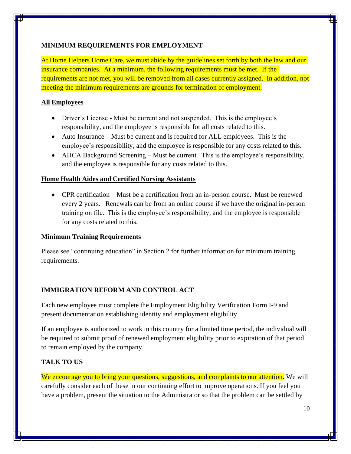# **MINIMUM REQUIREMENTS FOR EMPLOYMENT**

At Home Helpers Home Care, we must abide by the guidelines set forth by both the law and our insurance companies. At a minimum, the following requirements must be met. If the requirements are not met, you will be removed from all cases currently assigned. In addition, not meeting the minimum requirements are grounds for termination of employment.

# **All Employees**

- Driver's License Must be current and not suspended. This is the employee's responsibility, and the employee is responsible for all costs related to this.
- Auto Insurance Must be current and is required for ALL employees. This is the employee's responsibility, and the employee is responsible for any costs related to this.
- AHCA Background Screening Must be current. This is the employee's responsibility, and the employee is responsible for any costs related to this.

# **Home Health Aides and Certified Nursing Assistants**

• CPR certification – Must be a certification from an in-person course. Must be renewed every 2 years. Renewals can be from an online course if we have the original in-person training on file. This is the employee's responsibility, and the employee is responsible for any costs related to this.

# **Minimum Training Requirements**

Please see "continuing education" in Section 2 for further information for minimum training requirements.

# **IMMIGRATION REFORM AND CONTROL ACT**

Each new employee must complete the Employment Eligibility Verification Form I-9 and present documentation establishing identity and employment eligibility.

If an employee is authorized to work in this country for a limited time period, the individual will be required to submit proof of renewed employment eligibility prior to expiration of that period to remain employed by the company.

# **TALK TO US**

We encourage you to bring your questions, suggestions, and complaints to our attention. We will carefully consider each of these in our continuing effort to improve operations. If you feel you have a problem, present the situation to the Administrator so that the problem can be settled by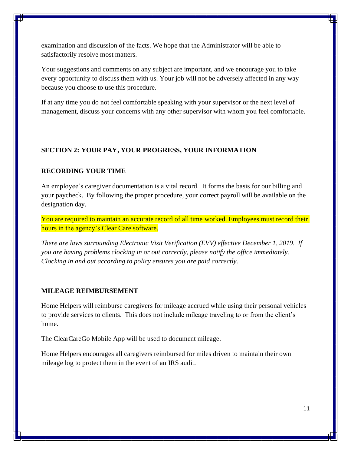examination and discussion of the facts. We hope that the Administrator will be able to satisfactorily resolve most matters.

Your suggestions and comments on any subject are important, and we encourage you to take every opportunity to discuss them with us. Your job will not be adversely affected in any way because you choose to use this procedure.

If at any time you do not feel comfortable speaking with your supervisor or the next level of management, discuss your concerns with any other supervisor with whom you feel comfortable.

### **SECTION 2: YOUR PAY, YOUR PROGRESS, YOUR INFORMATION**

#### **RECORDING YOUR TIME**

An employee's caregiver documentation is a vital record. It forms the basis for our billing and your paycheck. By following the proper procedure, your correct payroll will be available on the designation day.

You are required to maintain an accurate record of all time worked. Employees must record their hours in the agency's Clear Care software.

*There are laws surrounding Electronic Visit Verification (EVV) effective December 1, 2019. If you are having problems clocking in or out correctly, please notify the office immediately. Clocking in and out according to policy ensures you are paid correctly.*

#### **MILEAGE REIMBURSEMENT**

Home Helpers will reimburse caregivers for mileage accrued while using their personal vehicles to provide services to clients. This does not include mileage traveling to or from the client's home.

The ClearCareGo Mobile App will be used to document mileage.

Home Helpers encourages all caregivers reimbursed for miles driven to maintain their own mileage log to protect them in the event of an IRS audit.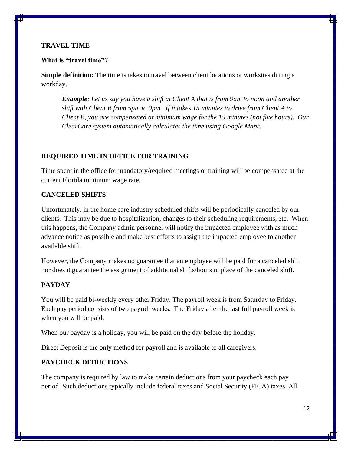### **TRAVEL TIME**

#### **What is "travel time"?**

**Simple definition:** The time is takes to travel between client locations or worksites during a workday.

*Example: Let us say you have a shift at Client A that is from 9am to noon and another shift with Client B from 5pm to 9pm. If it takes 15 minutes to drive from Client A to Client B, you are compensated at minimum wage for the 15 minutes (not five hours). Our ClearCare system automatically calculates the time using Google Maps.* 

### **REQUIRED TIME IN OFFICE FOR TRAINING**

Time spent in the office for mandatory/required meetings or training will be compensated at the current Florida minimum wage rate.

### **CANCELED SHIFTS**

Unfortunately, in the home care industry scheduled shifts will be periodically canceled by our clients. This may be due to hospitalization, changes to their scheduling requirements, etc. When this happens, the Company admin personnel will notify the impacted employee with as much advance notice as possible and make best efforts to assign the impacted employee to another available shift.

However, the Company makes no guarantee that an employee will be paid for a canceled shift nor does it guarantee the assignment of additional shifts/hours in place of the canceled shift.

# **PAYDAY**

You will be paid bi-weekly every other Friday. The payroll week is from Saturday to Friday. Each pay period consists of two payroll weeks. The Friday after the last full payroll week is when you will be paid.

When our payday is a holiday, you will be paid on the day before the holiday.

Direct Deposit is the only method for payroll and is available to all caregivers.

### **PAYCHECK DEDUCTIONS**

The company is required by law to make certain deductions from your paycheck each pay period. Such deductions typically include federal taxes and Social Security (FICA) taxes. All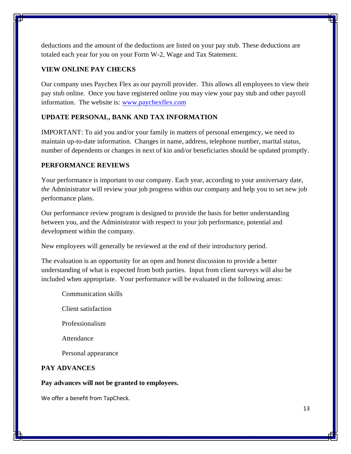deductions and the amount of the deductions are listed on your pay stub. These deductions are totaled each year for you on your Form W-2, Wage and Tax Statement.

# **VIEW ONLINE PAY CHECKS**

Our company uses Paychex Flex as our payroll provider. This allows all employees to view their pay stub online. Once you have registered online you may view your pay stub and other payroll information. The website is: [www.paychexflex.com](http://www.paychexflex.com/)

### **UPDATE PERSONAL, BANK AND TAX INFORMATION**

IMPORTANT: To aid you and/or your family in matters of personal emergency, we need to maintain up-to-date information. Changes in name, address, telephone number, marital status, number of dependents or changes in next of kin and/or beneficiaries should be updated promptly.

### **PERFORMANCE REVIEWS**

Your performance is important to our company. Each year, according to your anniversary date, *the* Administrator will review your job progress within our company and help you to set new job performance plans.

Our performance review program is designed to provide the basis for better understanding between you, and the Administrator with respect to your job performance, potential and development within the company.

New employees will generally be reviewed at the end of their introductory period.

The evaluation is an opportunity for an open and honest discussion to provide a better understanding of what is expected from both parties. Input from client surveys will also be included when appropriate. Your performance will be evaluated in the following areas:

- Communication skills
- Client satisfaction

Professionalism

Attendance

Personal appearance

### **PAY ADVANCES**

#### **Pay advances will not be granted to employees.**

We offer a benefit from TapCheck.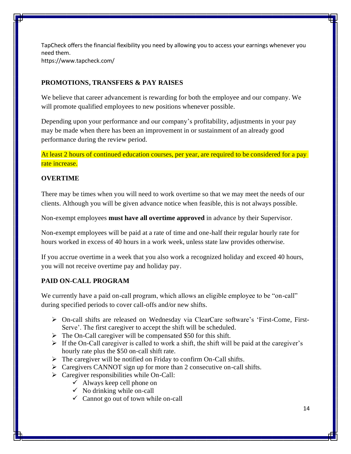TapCheck offers the financial flexibility you need by allowing you to access your earnings whenever you need them. https://www.tapcheck.com/

# **PROMOTIONS, TRANSFERS & PAY RAISES**

We believe that career advancement is rewarding for both the employee and our company. We will promote qualified employees to new positions whenever possible.

Depending upon your performance and our company's profitability, adjustments in your pay may be made when there has been an improvement in or sustainment of an already good performance during the review period.

At least 2 hours of continued education courses, per year, are required to be considered for a pay rate increase.

### **OVERTIME**

There may be times when you will need to work overtime so that we may meet the needs of our clients. Although you will be given advance notice when feasible, this is not always possible.

Non-exempt employees **must have all overtime approved** in advance by their Supervisor.

Non-exempt employees will be paid at a rate of time and one-half their regular hourly rate for hours worked in excess of 40 hours in a work week, unless state law provides otherwise.

If you accrue overtime in a week that you also work a recognized holiday and exceed 40 hours, you will not receive overtime pay and holiday pay.

# **PAID ON-CALL PROGRAM**

We currently have a paid on-call program, which allows an eligible employee to be "on-call" during specified periods to cover call-offs and/or new shifts.

- ➢ On-call shifts are released on Wednesday via ClearCare software's 'First-Come, First-Serve'. The first caregiver to accept the shift will be scheduled.
- $\triangleright$  The On-Call caregiver will be compensated \$50 for this shift.
- $\triangleright$  If the On-Call caregiver is called to work a shift, the shift will be paid at the caregiver's hourly rate plus the \$50 on-call shift rate.
- ➢ The caregiver will be notified on Friday to confirm On-Call shifts.
- ➢ Caregivers CANNOT sign up for more than 2 consecutive on-call shifts.
- $\triangleright$  Caregiver responsibilities while On-Call:
	- $\checkmark$  Always keep cell phone on
	- $\checkmark$  No drinking while on-call
	- $\checkmark$  Cannot go out of town while on-call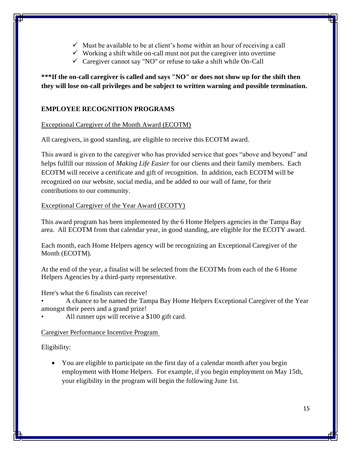- $\checkmark$  Must be available to be at client's home within an hour of receiving a call
- $\checkmark$  Working a shift while on-call must not put the caregiver into overtime
- $\checkmark$  Caregiver cannot say "NO" or refuse to take a shift while On-Call

**\*\*\*If the on-call caregiver is called and says "NO" or does not show up for the shift then they will lose on-call privileges and be subject to written warning and possible termination.**

# **EMPLOYEE RECOGNITION PROGRAMS**

# Exceptional Caregiver of the Month Award (ECOTM)

All caregivers, in good standing, are eligible to receive this ECOTM award.

This award is given to the caregiver who has provided service that goes "above and beyond" and helps fulfill our mission of *Making Life Easier* for our clients and their family members. Each ECOTM will receive a certificate and gift of recognition. In addition, each ECOTM will be recognized on our website, social media, and be added to our wall of fame, for their contributions to our community.

# Exceptional Caregiver of the Year Award (ECOTY)

This award program has been implemented by the 6 Home Helpers agencies in the Tampa Bay area. All ECOTM from that calendar year, in good standing, are eligible for the ECOTY award.

Each month, each Home Helpers agency will be recognizing an Exceptional Caregiver of the Month (ECOTM).

At the end of the year, a finalist will be selected from the ECOTMs from each of the 6 Home Helpers Agencies by a third-party representative.

Here's what the 6 finalists can receive!

• A chance to be named the Tampa Bay Home Helpers Exceptional Caregiver of the Year amongst their peers and a grand prize!

All runner ups will receive a \$100 gift card.

# Caregiver Performance Incentive Program

Eligibility:

• You are eligible to participate on the first day of a calendar month after you begin employment with Home Helpers. For example, if you begin employment on May 15th, your eligibility in the program will begin the following June 1st.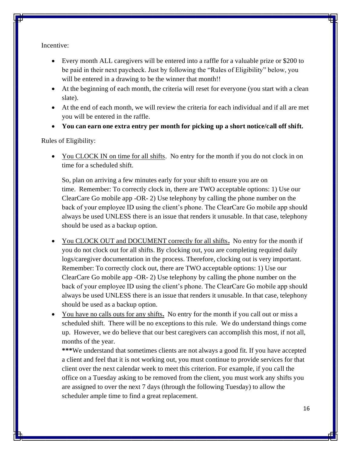Incentive:

- Every month ALL caregivers will be entered into a raffle for a valuable prize or \$200 to be paid in their next paycheck. Just by following the "Rules of Eligibility" below, you will be entered in a drawing to be the winner that month!!
- At the beginning of each month, the criteria will reset for everyone (you start with a clean slate).
- At the end of each month, we will review the criteria for each individual and if all are met you will be entered in the raffle.
- **You can earn one extra entry per month for picking up a short notice/call off shift.**

Rules of Eligibility:

• You CLOCK IN on time for all shifts. No entry for the month if you do not clock in on time for a scheduled shift.

So, plan on arriving a few minutes early for your shift to ensure you are on time. Remember: To correctly clock in, there are TWO acceptable options: 1) Use our ClearCare Go mobile app -OR- 2) Use telephony by calling the phone number on the back of your employee ID using the client's phone. The ClearCare Go mobile app should always be used UNLESS there is an issue that renders it unusable. In that case, telephony should be used as a backup option.

- You CLOCK OUT and DOCUMENT correctly for all shifts**.** No entry for the month if you do not clock out for all shifts. By clocking out, you are completing required daily logs/caregiver documentation in the process. Therefore, clocking out is very important. Remember: To correctly clock out, there are TWO acceptable options: 1) Use our ClearCare Go mobile app -OR- 2) Use telephony by calling the phone number on the back of your employee ID using the client's phone. The ClearCare Go mobile app should always be used UNLESS there is an issue that renders it unusable. In that case, telephony should be used as a backup option.
- You have no calls outs for any shifts**.** No entry for the month if you call out or miss a scheduled shift. There will be no exceptions to this rule. We do understand things come up. However, we do believe that our best caregivers can accomplish this most, if not all, months of the year.

**\*\*\***We understand that sometimes clients are not always a good fit. If you have accepted a client and feel that it is not working out, you must continue to provide services for that client over the next calendar week to meet this criterion. For example, if you call the office on a Tuesday asking to be removed from the client, you must work any shifts you are assigned to over the next 7 days (through the following Tuesday) to allow the scheduler ample time to find a great replacement.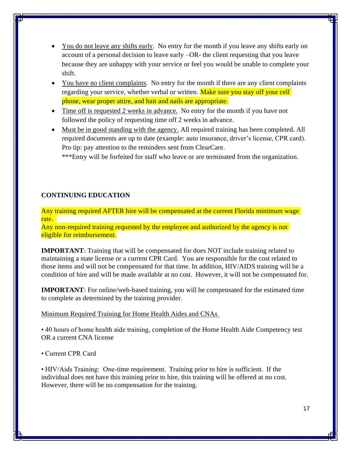- You do not leave any shifts early. No entry for the month if you leave any shifts early on account of a personal decision to leave early –OR- the client requesting that you leave because they are unhappy with your service or feel you would be unable to complete your shift.
- You have no client complaints. No entry for the month if there are any client complaints regarding your service, whether verbal or written. Make sure you stay off your cell phone, wear proper attire, and hair and nails are appropriate.
- Time off is requested 2 weeks in advance. No entry for the month if you have not followed the policy of requesting time off 2 weeks in advance.
- Must be in good standing with the agency. All required training has been completed. All required documents are up to date (example: auto insurance, driver's license, CPR card). Pro tip: pay attention to the reminders sent from ClearCare.

\*\*\*Entry will be forfeited for staff who leave or are terminated from the organization.

# **CONTINUING EDUCATION**

Any training required AFTER hire will be compensated at the current Florida minimum wage rate.

Any non-required training requested by the employee and authorized by the agency is not eligible for reimbursement.

**IMPORTANT**: Training that will be compensated for does NOT include training related to maintaining a state license or a current CPR Card. You are responsible for the cost related to those items and will not be compensated for that time. In addition, HIV/AIDS training will be a condition of hire and will be made available at no cost. However, it will not be compensated for.

**IMPORTANT**: For online/web-based training, you will be compensated for the estimated time to complete as determined by the training provider.

### Minimum Required Training for Home Health Aides and CNAs

• 40 hours of home health aide training, completion of the Home Health Aide Competency test OR a current CNA license

• Current CPR Card

• HIV/Aids Training: One-time requirement. Training prior to hire is sufficient. If the individual does not have this training prior to hire, this training will be offered at no cost. However, there will be no compensation for the training.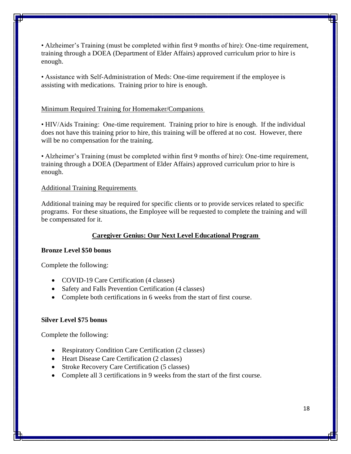• Alzheimer's Training (must be completed within first 9 months of hire): One-time requirement, training through a DOEA (Department of Elder Affairs) approved curriculum prior to hire is enough.

• Assistance with Self-Administration of Meds: One-time requirement if the employee is assisting with medications. Training prior to hire is enough.

#### Minimum Required Training for Homemaker/Companions

• HIV/Aids Training: One-time requirement. Training prior to hire is enough. If the individual does not have this training prior to hire, this training will be offered at no cost. However, there will be no compensation for the training.

• Alzheimer's Training (must be completed within first 9 months of hire): One-time requirement, training through a DOEA (Department of Elder Affairs) approved curriculum prior to hire is enough.

#### Additional Training Requirements

Additional training may be required for specific clients or to provide services related to specific programs. For these situations, the Employee will be requested to complete the training and will be compensated for it.

#### **Caregiver Genius: Our Next Level Educational Program**

#### **Bronze Level \$50 bonus**

Complete the following:

- COVID-19 Care Certification (4 classes)
- Safety and Falls Prevention Certification (4 classes)
- Complete both certifications in 6 weeks from the start of first course.

#### **Silver Level \$75 bonus**

Complete the following:

- Respiratory Condition Care Certification (2 classes)
- Heart Disease Care Certification (2 classes)
- Stroke Recovery Care Certification (5 classes)
- Complete all 3 certifications in 9 weeks from the start of the first course.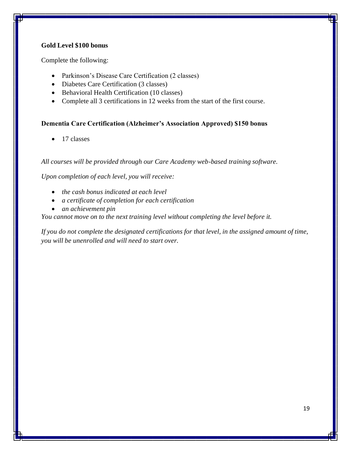### **Gold Level \$100 bonus**

Complete the following:

- Parkinson's Disease Care Certification (2 classes)
- Diabetes Care Certification (3 classes)
- Behavioral Health Certification (10 classes)
- Complete all 3 certifications in 12 weeks from the start of the first course.

### **Dementia Care Certification (Alzheimer's Association Approved) \$150 bonus**

• 17 classes

*All courses will be provided through our Care Academy web-based training software.*

*Upon completion of each level, you will receive:* 

- *the cash bonus indicated at each level*
- *a certificate of completion for each certification*
- *an achievement pin*

*You cannot move on to the next training level without completing the level before it.*

*If you do not complete the designated certifications for that level, in the assigned amount of time, you will be unenrolled and will need to start over.*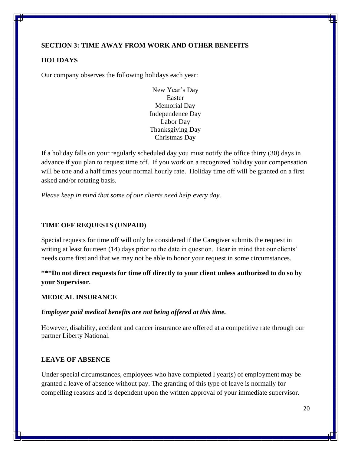# **SECTION 3: TIME AWAY FROM WORK AND OTHER BENEFITS**

### **HOLIDAYS**

Our company observes the following holidays each year:

New Year's Day Easter Memorial Day Independence Day Labor Day Thanksgiving Day Christmas Day

If a holiday falls on your regularly scheduled day you must notify the office thirty (30) days in advance if you plan to request time off. If you work on a recognized holiday your compensation will be one and a half times your normal hourly rate. Holiday time off will be granted on a first asked and/or rotating basis.

*Please keep in mind that some of our clients need help every day.*

# **TIME OFF REQUESTS (UNPAID)**

Special requests for time off will only be considered if the Caregiver submits the request in writing at least fourteen (14) days prior to the date in question. Bear in mind that our clients' needs come first and that we may not be able to honor your request in some circumstances.

**\*\*\*Do not direct requests for time off directly to your client unless authorized to do so by your Supervisor.** 

#### **MEDICAL INSURANCE**

#### *Employer paid medical benefits are not being offered at this time.*

However, disability, accident and cancer insurance are offered at a competitive rate through our partner Liberty National.

# **LEAVE OF ABSENCE**

Under special circumstances, employees who have completed l year(s) of employment may be granted a leave of absence without pay. The granting of this type of leave is normally for compelling reasons and is dependent upon the written approval of your immediate supervisor.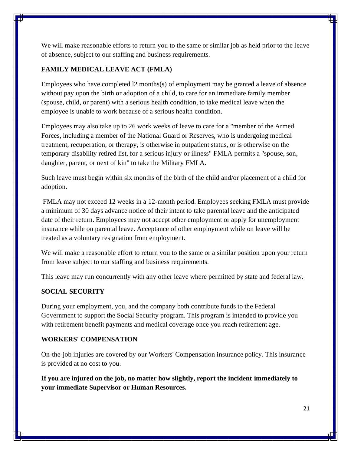We will make reasonable efforts to return you to the same or similar job as held prior to the leave of absence, subject to our staffing and business requirements.

### **FAMILY MEDICAL LEAVE ACT (FMLA)**

Employees who have completed l2 months(s) of employment may be granted a leave of absence without pay upon the birth or adoption of a child, to care for an immediate family member (spouse, child, or parent) with a serious health condition, to take medical leave when the employee is unable to work because of a serious health condition.

Employees may also take up to 26 work weeks of leave to care for a "member of the Armed Forces, including a member of the National Guard or Reserves, who is undergoing medical treatment, recuperation, or therapy, is otherwise in outpatient status, or is otherwise on the temporary disability retired list, for a serious injury or illness" FMLA permits a "spouse, son, daughter, parent, or next of kin" to take the Military FMLA.

Such leave must begin within six months of the birth of the child and/or placement of a child for adoption.

FMLA may not exceed 12 weeks in a 12-month period. Employees seeking FMLA must provide a minimum of 30 days advance notice of their intent to take parental leave and the anticipated date of their return. Employees may not accept other employment or apply for unemployment insurance while on parental leave. Acceptance of other employment while on leave will be treated as a voluntary resignation from employment.

We will make a reasonable effort to return you to the same or a similar position upon your return from leave subject to our staffing and business requirements.

This leave may run concurrently with any other leave where permitted by state and federal law.

### **SOCIAL SECURITY**

During your employment, you, and the company both contribute funds to the Federal Government to support the Social Security program. This program is intended to provide you with retirement benefit payments and medical coverage once you reach retirement age.

#### **WORKERS' COMPENSATION**

On-the-job injuries are covered by our Workers' Compensation insurance policy. This insurance is provided at no cost to you.

**If you are injured on the job, no matter how slightly, report the incident immediately to your immediate Supervisor or Human Resources.**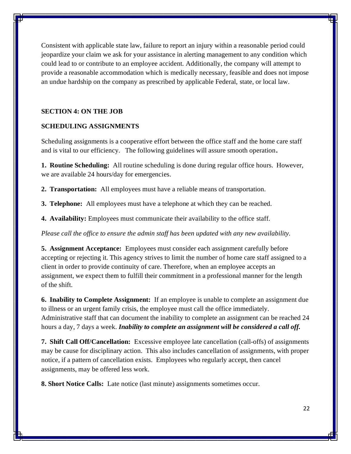Consistent with applicable state law, failure to report an injury within a reasonable period could jeopardize your claim we ask for your assistance in alerting management to any condition which could lead to or contribute to an employee accident. Additionally, the company will attempt to provide a reasonable accommodation which is medically necessary, feasible and does not impose an undue hardship on the company as prescribed by applicable Federal, state, or local law.

### **SECTION 4: ON THE JOB**

### **SCHEDULING ASSIGNMENTS**

Scheduling assignments is a cooperative effort between the office staff and the home care staff and is vital to our efficiency. The following guidelines will assure smooth operation**.** 

**1. Routine Scheduling:** All routine scheduling is done during regular office hours. However, we are available 24 hours/day for emergencies.

**2. Transportation:** All employees must have a reliable means of transportation.

**3. Telephone:** All employees must have a telephone at which they can be reached.

**4. Availability:** Employees must communicate their availability to the office staff.

*Please call the office to ensure the admin staff has been updated with any new availability.* 

**5. Assignment Acceptance:** Employees must consider each assignment carefully before accepting or rejecting it. This agency strives to limit the number of home care staff assigned to a client in order to provide continuity of care. Therefore, when an employee accepts an assignment, we expect them to fulfill their commitment in a professional manner for the length of the shift.

**6. Inability to Complete Assignment:** If an employee is unable to complete an assignment due to illness or an urgent family crisis, the employee must call the office immediately. Administrative staff that can document the inability to complete an assignment can be reached 24 hours a day, 7 days a week. *Inability to complete an assignment will be considered a call off.*

**7. Shift Call Off/Cancellation:** Excessive employee late cancellation (call-offs) of assignments may be cause for disciplinary action. This also includes cancellation of assignments, with proper notice, if a pattern of cancellation exists. Employees who regularly accept, then cancel assignments, may be offered less work.

**8. Short Notice Calls:** Late notice (last minute) assignments sometimes occur.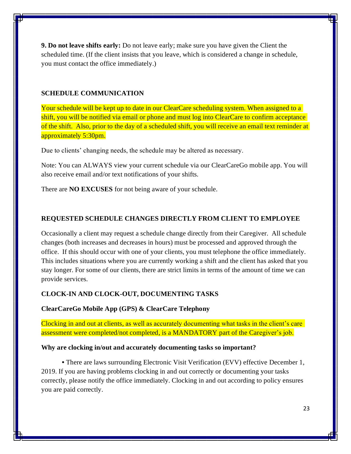**9. Do not leave shifts early:** Do not leave early; make sure you have given the Client the scheduled time. (If the client insists that you leave, which is considered a change in schedule, you must contact the office immediately.)

#### **SCHEDULE COMMUNICATION**

Your schedule will be kept up to date in our ClearCare scheduling system. When assigned to a shift, you will be notified via email or phone and must log into ClearCare to confirm acceptance of the shift. Also, prior to the day of a scheduled shift, you will receive an email text reminder at approximately 5:30pm.

Due to clients' changing needs, the schedule may be altered as necessary.

Note: You can ALWAYS view your current schedule via our ClearCareGo mobile app. You will also receive email and/or text notifications of your shifts.

There are **NO EXCUSES** for not being aware of your schedule.

### **REQUESTED SCHEDULE CHANGES DIRECTLY FROM CLIENT TO EMPLOYEE**

Occasionally a client may request a schedule change directly from their Caregiver. All schedule changes (both increases and decreases in hours) must be processed and approved through the office. If this should occur with one of your clients, you must telephone the office immediately. This includes situations where you are currently working a shift and the client has asked that you stay longer. For some of our clients, there are strict limits in terms of the amount of time we can provide services.

#### **CLOCK-IN AND CLOCK-OUT, DOCUMENTING TASKS**

**ClearCareGo Mobile App (GPS) & ClearCare Telephony** 

Clocking in and out at clients, as well as accurately documenting what tasks in the client's care assessment were completed/not completed, is a MANDATORY part of the Caregiver's job.

#### **Why are clocking in/out and accurately documenting tasks so important?**

**•** There are laws surrounding Electronic Visit Verification (EVV) effective December 1, 2019. If you are having problems clocking in and out correctly or documenting your tasks correctly, please notify the office immediately. Clocking in and out according to policy ensures you are paid correctly.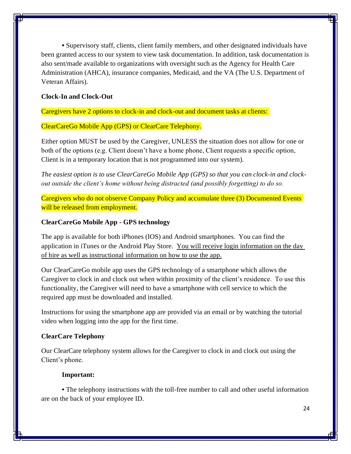**•** Supervisory staff, clients, client family members, and other designated individuals have been granted access to our system to view task documentation. In addition, task documentation is also sent/made available to organizations with oversight such as the Agency for Health Care Administration (AHCA), insurance companies, Medicaid, and the VA (The U.S. Department of Veteran Affairs).

#### **Clock-In and Clock-Out**

Caregivers have 2 options to clock-in and clock-out and document tasks at clients:

ClearCareGo Mobile App (GPS) or ClearCare Telephony.

Either option MUST be used by the Caregiver, UNLESS the situation does not allow for one or both of the options (e.g. Client doesn't have a home phone, Client requests a specific option, Client is in a temporary location that is not programmed into our system).

*The easiest option is to use ClearCareGo Mobile App (GPS) so that you can clock-in and clockout outside the client's home without being distracted (and possibly forgetting) to do so.* 

Caregivers who do not observe Company Policy and accumulate three (3) Documented Events will be released from employment.

#### **ClearCareGo Mobile App - GPS technology**

The app is available for both iPhones (IOS) and Android smartphones. You can find the application in iTunes or the Android Play Store. You will receive login information on the day of hire as well as instructional information on how to use the app.

Our ClearCareGo mobile app uses the GPS technology of a smartphone which allows the Caregiver to clock in and clock out when within proximity of the client's residence. To use this functionality, the Caregiver will need to have a smartphone with cell service to which the required app must be downloaded and installed.

Instructions for using the smartphone app are provided via an email or by watching the tutorial video when logging into the app for the first time.

#### **ClearCare Telephony**

Our ClearCare telephony system allows for the Caregiver to clock in and clock out using the Client's phone.

#### **Important:**

**•** The telephony instructions with the toll-free number to call and other useful information are on the back of your employee ID.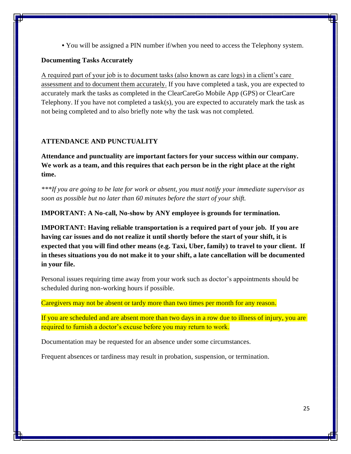**•** You will be assigned a PIN number if/when you need to access the Telephony system.

### **Documenting Tasks Accurately**

A required part of your job is to document tasks (also known as care logs) in a client's care assessment and to document them accurately. If you have completed a task, you are expected to accurately mark the tasks as completed in the ClearCareGo Mobile App (GPS) or ClearCare Telephony. If you have not completed a task(s), you are expected to accurately mark the task as not being completed and to also briefly note why the task was not completed.

# **ATTENDANCE AND PUNCTUALITY**

**Attendance and punctuality are important factors for your success within our company. We work as a team, and this requires that each person be in the right place at the right time.**

*\*\*\*If you are going to be late for work or absent, you must notify your immediate supervisor as soon as possible but no later than 60 minutes before the start of your shift.*

**IMPORTANT: A No-call, No-show by ANY employee is grounds for termination.** 

**IMPORTANT: Having reliable transportation is a required part of your job. If you are having car issues and do not realize it until shortly before the start of your shift, it is expected that you will find other means (e.g. Taxi, Uber, family) to travel to your client. If in theses situations you do not make it to your shift, a late cancellation will be documented in your file.**

Personal issues requiring time away from your work such as doctor's appointments should be scheduled during non-working hours if possible.

Caregivers may not be absent or tardy more than two times per month for any reason.

If you are scheduled and are absent more than two days in a row due to illness of injury, you are required to furnish a doctor's excuse before you may return to work.

Documentation may be requested for an absence under some circumstances.

Frequent absences or tardiness may result in probation, suspension, or termination.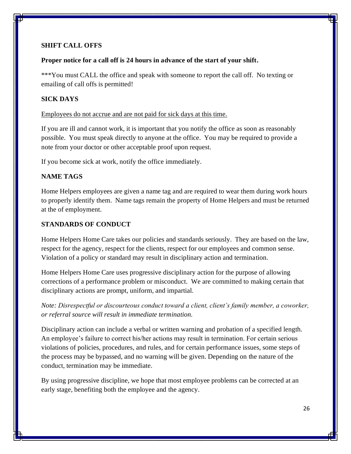## **SHIFT CALL OFFS**

#### **Proper notice for a call off is 24 hours in advance of the start of your shift.**

\*\*\*You must CALL the office and speak with someone to report the call off. No texting or emailing of call offs is permitted!

## **SICK DAYS**

Employees do not accrue and are not paid for sick days at this time.

If you are ill and cannot work, it is important that you notify the office as soon as reasonably possible. You must speak directly to anyone at the office. You may be required to provide a note from your doctor or other acceptable proof upon request.

If you become sick at work, notify the office immediately.

# **NAME TAGS**

Home Helpers employees are given a name tag and are required to wear them during work hours to properly identify them. Name tags remain the property of Home Helpers and must be returned at the of employment.

#### **STANDARDS OF CONDUCT**

Home Helpers Home Care takes our policies and standards seriously. They are based on the law, respect for the agency, respect for the clients, respect for our employees and common sense. Violation of a policy or standard may result in disciplinary action and termination.

Home Helpers Home Care uses progressive disciplinary action for the purpose of allowing corrections of a performance problem or misconduct. We are committed to making certain that disciplinary actions are prompt, uniform, and impartial.

*Note: Disrespectful or discourteous conduct toward a client, client's family member, a coworker, or referral source will result in immediate termination.* 

Disciplinary action can include a verbal or written warning and probation of a specified length. An employee's failure to correct his/her actions may result in termination. For certain serious violations of policies, procedures, and rules, and for certain performance issues, some steps of the process may be bypassed, and no warning will be given. Depending on the nature of the conduct, termination may be immediate.

By using progressive discipline, we hope that most employee problems can be corrected at an early stage, benefiting both the employee and the agency.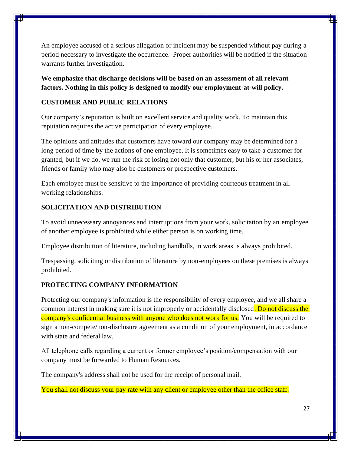An employee accused of a serious allegation or incident may be suspended without pay during a period necessary to investigate the occurrence. Proper authorities will be notified if the situation warrants further investigation.

**We emphasize that discharge decisions will be based on an assessment of all relevant factors. Nothing in this policy is designed to modify our employment-at-will policy.**

# **CUSTOMER AND PUBLIC RELATIONS**

Our company's reputation is built on excellent service and quality work. To maintain this reputation requires the active participation of every employee.

The opinions and attitudes that customers have toward our company may be determined for a long period of time by the actions of one employee. It is sometimes easy to take a customer for granted, but if we do, we run the risk of losing not only that customer, but his or her associates, friends or family who may also be customers or prospective customers.

Each employee must be sensitive to the importance of providing courteous treatment in all working relationships.

# **SOLICITATION AND DISTRIBUTION**

To avoid unnecessary annoyances and interruptions from your work, solicitation by an employee of another employee is prohibited while either person is on working time.

Employee distribution of literature, including handbills, in work areas is always prohibited.

Trespassing, soliciting or distribution of literature by non-employees on these premises is always prohibited.

# **PROTECTING COMPANY INFORMATION**

Protecting our company's information is the responsibility of every employee, and we all share a common interest in making sure it is not improperly or accidentally disclosed. Do not discuss the company's confidential business with anyone who does not work for us. You will be required to sign a non-compete/non-disclosure agreement as a condition of your employment, in accordance with state and federal law.

All telephone calls regarding a current or former employee's position/compensation with our company must be forwarded to Human Resources.

The company's address shall not be used for the receipt of personal mail.

You shall not discuss your pay rate with any client or employee other than the office staff.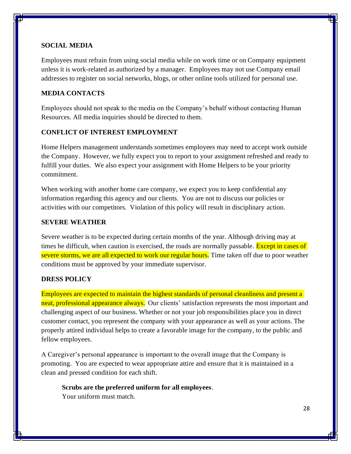### **SOCIAL MEDIA**

Employees must refrain from using social media while on work time or on Company equipment unless it is work-related as authorized by a manager. Employees may not use Company email addresses to register on social networks, blogs, or other online tools utilized for personal use.

### **MEDIA CONTACTS**

Employees should not speak to the media on the Company's behalf without contacting Human Resources. All media inquiries should be directed to them.

### **CONFLICT OF INTEREST EMPLOYMENT**

Home Helpers management understands sometimes employees may need to accept work outside the Company. However, we fully expect you to report to your assignment refreshed and ready to fulfill your duties. We also expect your assignment with Home Helpers to be your priority commitment.

When working with another home care company, we expect you to keep confidential any information regarding this agency and our clients. You are not to discuss our policies or activities with our competitors. Violation of this policy will result in disciplinary action.

## **SEVERE WEATHER**

Severe weather is to be expected during certain months of the year. Although driving may at times be difficult, when caution is exercised, the roads are normally passable. Except in cases of severe storms, we are all expected to work our regular hours. Time taken off due to poor weather conditions must be approved by your immediate supervisor.

#### **DRESS POLICY**

Employees are expected to maintain the highest standards of personal cleanliness and present a neat, professional appearance always.Our clients' satisfaction represents the most important and challenging aspect of our business. Whether or not your job responsibilities place you in direct customer contact, you represent the company with your appearance as well as your actions. The properly attired individual helps to create a favorable image for the company, to the public and fellow employees.

A Caregiver's personal appearance is important to the overall image that the Company is promoting. You are expected to wear appropriate attire and ensure that it is maintained in a clean and pressed condition for each shift.

**Scrubs are the preferred uniform for all employees**.

Your uniform must match.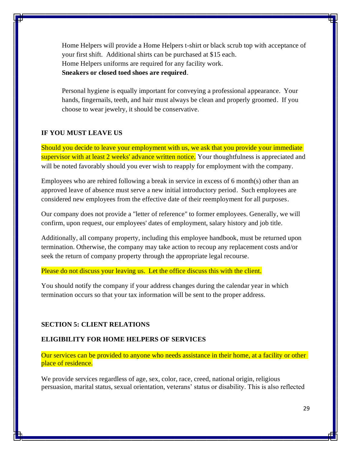Home Helpers will provide a Home Helpers t-shirt or black scrub top with acceptance of your first shift. Additional shirts can be purchased at \$15 each. Home Helpers uniforms are required for any facility work. **Sneakers or closed toed shoes are required**.

Personal hygiene is equally important for conveying a professional appearance. Your hands, fingernails, teeth, and hair must always be clean and properly groomed. If you choose to wear jewelry, it should be conservative.

### **IF YOU MUST LEAVE US**

Should you decide to leave your employment with us, we ask that you provide your immediate supervisor with at least 2 weeks' advance written notice. Your thoughtfulness is appreciated and will be noted favorably should you ever wish to reapply for employment with the company.

Employees who are rehired following a break in service in excess of 6 month(s) other than an approved leave of absence must serve a new initial introductory period. Such employees are considered new employees from the effective date of their reemployment for all purposes.

Our company does not provide a "letter of reference" to former employees. Generally, we will confirm, upon request, our employees' dates of employment, salary history and job title.

Additionally, all company property, including this employee handbook, must be returned upon termination. Otherwise, the company may take action to recoup any replacement costs and/or seek the return of company property through the appropriate legal recourse.

Please do not discuss your leaving us. Let the office discuss this with the client.

You should notify the company if your address changes during the calendar year in which termination occurs so that your tax information will be sent to the proper address.

#### **SECTION 5: CLIENT RELATIONS**

#### **ELIGIBILITY FOR HOME HELPERS OF SERVICES**

Our services can be provided to anyone who needs assistance in their home, at a facility or other place of residence.

We provide services regardless of age, sex, color, race, creed, national origin, religious persuasion, marital status, sexual orientation, veterans' status or disability. This is also reflected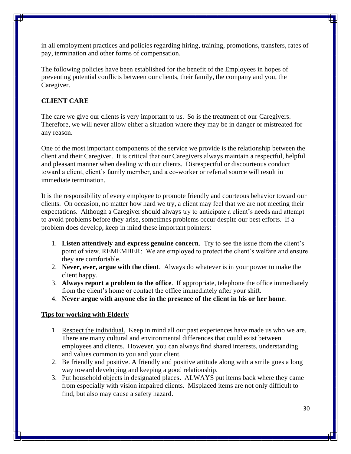in all employment practices and policies regarding hiring, training, promotions, transfers, rates of pay, termination and other forms of compensation.

The following policies have been established for the benefit of the Employees in hopes of preventing potential conflicts between our clients, their family, the company and you, the Caregiver.

# **CLIENT CARE**

The care we give our clients is very important to us. So is the treatment of our Caregivers. Therefore, we will never allow either a situation where they may be in danger or mistreated for any reason.

One of the most important components of the service we provide is the relationship between the client and their Caregiver. It is critical that our Caregivers always maintain a respectful, helpful and pleasant manner when dealing with our clients. Disrespectful or discourteous conduct toward a client, client's family member, and a co-worker or referral source will result in immediate termination.

It is the responsibility of every employee to promote friendly and courteous behavior toward our clients. On occasion, no matter how hard we try, a client may feel that we are not meeting their expectations. Although a Caregiver should always try to anticipate a client's needs and attempt to avoid problems before they arise, sometimes problems occur despite our best efforts. If a problem does develop, keep in mind these important pointers:

- 1. **Listen attentively and express genuine concern**. Try to see the issue from the client's point of view. REMEMBER: We are employed to protect the client's welfare and ensure they are comfortable.
- 2. **Never, ever, argue with the client**. Always do whatever is in your power to make the client happy.
- 3. **Always report a problem to the office**. If appropriate, telephone the office immediately from the client's home or contact the office immediately after your shift.
- 4. **Never argue with anyone else in the presence of the client in his or her home**.

# **Tips for working with Elderly**

- 1. Respect the individual. Keep in mind all our past experiences have made us who we are. There are many cultural and environmental differences that could exist between employees and clients. However, you can always find shared interests, understanding and values common to you and your client.
- 2. Be friendly and positive. A friendly and positive attitude along with a smile goes a long way toward developing and keeping a good relationship.
- 3. Put household objects in designated places. ALWAYS put items back where they came from especially with vision impaired clients. Misplaced items are not only difficult to find, but also may cause a safety hazard.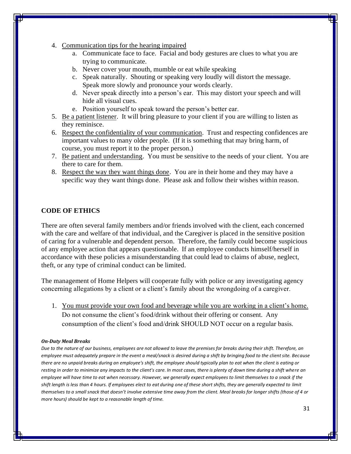- 4. Communication tips for the hearing impaired
	- a. Communicate face to face. Facial and body gestures are clues to what you are trying to communicate.
	- b. Never cover your mouth, mumble or eat while speaking
	- c. Speak naturally. Shouting or speaking very loudly will distort the message. Speak more slowly and pronounce your words clearly.
	- d. Never speak directly into a person's ear. This may distort your speech and will hide all visual cues.
	- e. Position yourself to speak toward the person's better ear.
- 5. Be a patient listener. It will bring pleasure to your client if you are willing to listen as they reminisce.
- 6. Respect the confidentiality of your communication. Trust and respecting confidences are important values to many older people. (If it is something that may bring harm, of course, you must report it to the proper person.)
- 7. Be patient and understanding. You must be sensitive to the needs of your client. You are there to care for them.
- 8. Respect the way they want things done. You are in their home and they may have a specific way they want things done. Please ask and follow their wishes within reason.

#### **CODE OF ETHICS**

There are often several family members and/or friends involved with the client, each concerned with the care and welfare of that individual, and the Caregiver is placed in the sensitive position of caring for a vulnerable and dependent person. Therefore, the family could become suspicious of any employee action that appears questionable. If an employee conducts himself/herself in accordance with these policies a misunderstanding that could lead to claims of abuse, neglect, theft, or any type of criminal conduct can be limited.

The management of Home Helpers will cooperate fully with police or any investigating agency concerning allegations by a client or a client's family about the wrongdoing of a caregiver.

1. You must provide your own food and beverage while you are working in a client's home. Do not consume the client's food/drink without their offering or consent. Any consumption of the client's food and/drink SHOULD NOT occur on a regular basis.

#### *On-Duty Meal Breaks*

*Due to the nature of our business, employees are not allowed to leave the premises for breaks during their shift. Therefore, an employee must adequately prepare in the event a meal/snack is desired during a shift by bringing food to the client site. Because there are no unpaid breaks during an employee's shift, the employee should typically plan to eat when the client is eating or resting in order to minimize any impacts to the client's care. In most cases, there is plenty of down time during a shift where an employee will have time to eat when necessary. However, we generally expect employees to limit themselves to a snack if the shift length is less than 4 hours. If employees elect to eat during one of these short shifts, they are generally expected to limit themselves to a small snack that doesn't involve extensive time away from the client. Meal breaks for longer shifts (those of 4 or more hours) should be kept to a reasonable length of time.*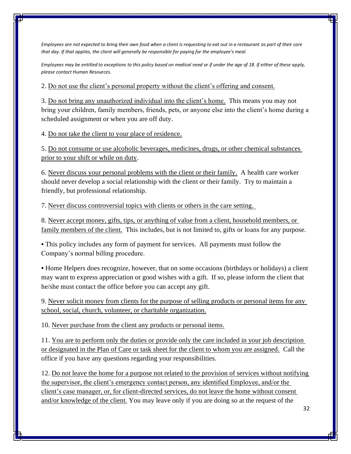*Employees are not expected to bring their own food when a client is requesting to eat out in a restaurant as part of their care that day. If that applies, the client will generally be responsible for paying for the employee's meal.*

*Employees may be entitled to exceptions to this policy based on medical need or if under the age of 18. If either of these apply, please contact Human Resources.* 

2. Do not use the client's personal property without the client's offering and consent.

3. Do not bring any unauthorized individual into the client's home. This means you may not bring your children, family members, friends, pets, or anyone else into the client's home during a scheduled assignment or when you are off duty.

4. Do not take the client to your place of residence.

5. Do not consume or use alcoholic beverages, medicines, drugs, or other chemical substances prior to your shift or while on duty.

6. Never discuss your personal problems with the client or their family. A health care worker should never develop a social relationship with the client or their family. Try to maintain a friendly, but professional relationship.

7. Never discuss controversial topics with clients or others in the care setting.

8. Never accept money, gifts, tips, or anything of value from a client, household members, or family members of the client. This includes, but is not limited to, gifts or loans for any purpose.

**•** This policy includes any form of payment for services. All payments must follow the Company's normal billing procedure.

**•** Home Helpers does recognize, however, that on some occasions (birthdays or holidays) a client may want to express appreciation or good wishes with a gift. If so, please inform the client that he/she must contact the office before you can accept any gift.

9. Never solicit money from clients for the purpose of selling products or personal items for any school, social, church, volunteer, or charitable organization.

10. Never purchase from the client any products or personal items.

11. You are to perform only the duties or provide only the care included in your job description or designated in the Plan of Care or task sheet for the client to whom you are assigned. Call the office if you have any questions regarding your responsibilities.

12. Do not leave the home for a purpose not related to the provision of services without notifying the supervisor, the client's emergency contact person, any identified Employee, and/or the client's case manager, or, for client-directed services, do not leave the home without consent and/or knowledge of the client. You may leave only if you are doing so at the request of the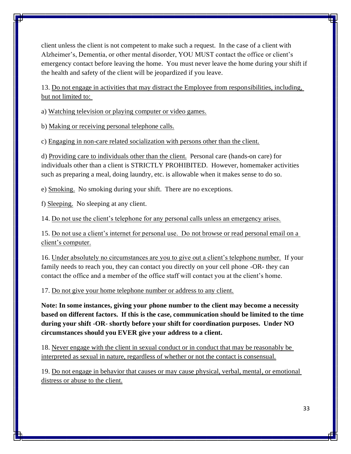client unless the client is not competent to make such a request. In the case of a client with Alzheimer's, Dementia, or other mental disorder, YOU MUST contact the office or client's emergency contact before leaving the home. You must never leave the home during your shift if the health and safety of the client will be jeopardized if you leave.

13. Do not engage in activities that may distract the Employee from responsibilities, including, but not limited to:

a) Watching television or playing computer or video games.

b) Making or receiving personal telephone calls.

c) Engaging in non-care related socialization with persons other than the client.

d) Providing care to individuals other than the client. Personal care (hands-on care) for individuals other than a client is STRICTLY PROHIBITED. However, homemaker activities such as preparing a meal, doing laundry, etc. is allowable when it makes sense to do so.

e) Smoking. No smoking during your shift. There are no exceptions.

f) Sleeping. No sleeping at any client.

14. Do not use the client's telephone for any personal calls unless an emergency arises.

15. Do not use a client's internet for personal use. Do not browse or read personal email on a client's computer.

16. Under absolutely no circumstances are you to give out a client's telephone number. If your family needs to reach you, they can contact you directly on your cell phone -OR- they can contact the office and a member of the office staff will contact you at the client's home.

17. Do not give your home telephone number or address to any client.

**Note: In some instances, giving your phone number to the client may become a necessity based on different factors. If this is the case, communication should be limited to the time during your shift -OR- shortly before your shift for coordination purposes. Under NO circumstances should you EVER give your address to a client.** 

18. Never engage with the client in sexual conduct or in conduct that may be reasonably be interpreted as sexual in nature, regardless of whether or not the contact is consensual.

19. Do not engage in behavior that causes or may cause physical, verbal, mental, or emotional distress or abuse to the client.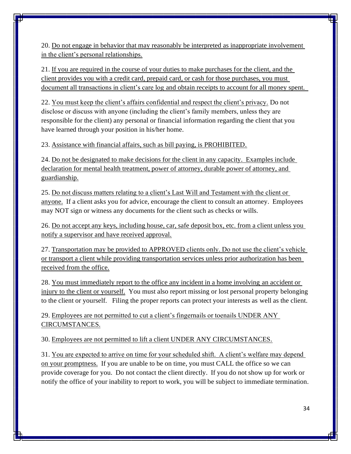20. Do not engage in behavior that may reasonably be interpreted as inappropriate involvement in the client's personal relationships.

21. If you are required in the course of your duties to make purchases for the client, and the client provides you with a credit card, prepaid card, or cash for those purchases, you must document all transactions in client's care log and obtain receipts to account for all money spent.

22. You must keep the client's affairs confidential and respect the client's privacy. Do not disclose or discuss with anyone (including the client's family members, unless they are responsible for the client) any personal or financial information regarding the client that you have learned through your position in his/her home.

23. Assistance with financial affairs, such as bill paying, is PROHIBITED.

24. Do not be designated to make decisions for the client in any capacity. Examples include declaration for mental health treatment, power of attorney, durable power of attorney, and guardianship.

25. Do not discuss matters relating to a client's Last Will and Testament with the client or anyone. If a client asks you for advice, encourage the client to consult an attorney. Employees may NOT sign or witness any documents for the client such as checks or wills.

26. Do not accept any keys, including house, car, safe deposit box, etc. from a client unless you notify a supervisor and have received approval.

27. Transportation may be provided to APPROVED clients only. Do not use the client's vehicle or transport a client while providing transportation services unless prior authorization has been received from the office.

28. You must immediately report to the office any incident in a home involving an accident or injury to the client or yourself. You must also report missing or lost personal property belonging to the client or yourself. Filing the proper reports can protect your interests as well as the client.

29. Employees are not permitted to cut a client's fingernails or toenails UNDER ANY CIRCUMSTANCES.

30. Employees are not permitted to lift a client UNDER ANY CIRCUMSTANCES.

31. You are expected to arrive on time for your scheduled shift. A client's welfare may depend on your promptness. If you are unable to be on time, you must CALL the office so we can provide coverage for you. Do not contact the client directly. If you do not show up for work or notify the office of your inability to report to work, you will be subject to immediate termination.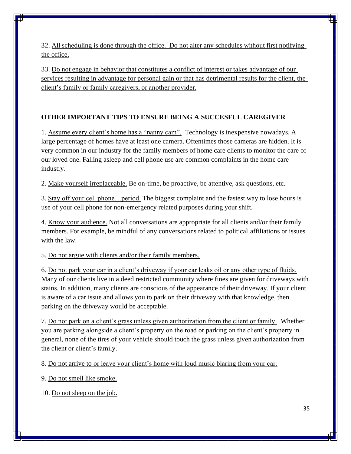32. All scheduling is done through the office. Do not alter any schedules without first notifying the office.

33. Do not engage in behavior that constitutes a conflict of interest or takes advantage of our services resulting in advantage for personal gain or that has detrimental results for the client, the client's family or family caregivers, or another provider.

# **OTHER IMPORTANT TIPS TO ENSURE BEING A SUCCESFUL CAREGIVER**

1. Assume every client's home has a "nanny cam". Technology is inexpensive nowadays. A large percentage of homes have at least one camera. Oftentimes those cameras are hidden. It is very common in our industry for the family members of home care clients to monitor the care of our loved one. Falling asleep and cell phone use are common complaints in the home care industry.

2. Make yourself irreplaceable. Be on-time, be proactive, be attentive, ask questions, etc.

3. Stay off your cell phone…period. The biggest complaint and the fastest way to lose hours is use of your cell phone for non-emergency related purposes during your shift.

4. Know your audience. Not all conversations are appropriate for all clients and/or their family members. For example, be mindful of any conversations related to political affiliations or issues with the law.

5. Do not argue with clients and/or their family members.

6. Do not park your car in a client's driveway if your car leaks oil or any other type of fluids. Many of our clients live in a deed restricted community where fines are given for driveways with stains. In addition, many clients are conscious of the appearance of their driveway. If your client is aware of a car issue and allows you to park on their driveway with that knowledge, then parking on the driveway would be acceptable.

7. Do not park on a client's grass unless given authorization from the client or family. Whether you are parking alongside a client's property on the road or parking on the client's property in general, none of the tires of your vehicle should touch the grass unless given authorization from the client or client's family.

8. Do not arrive to or leave your client's home with loud music blaring from your car.

9. Do not smell like smoke.

10. Do not sleep on the job.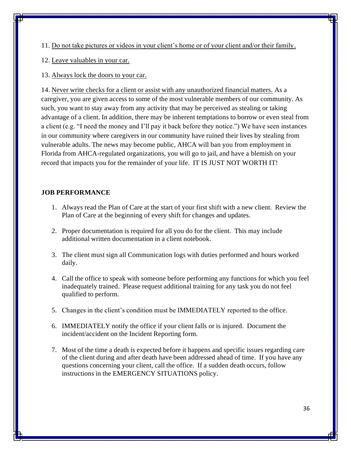11. Do not take pictures or videos in your client's home or of your client and/or their family.

12. Leave valuables in your car.

13. Always lock the doors to your car.

14. Never write checks for a client or assist with any unauthorized financial matters. As a caregiver, you are given access to some of the most vulnerable members of our community. As such, you want to stay away from any activity that may be perceived as stealing or taking advantage of a client. In addition, there may be inherent temptations to borrow or even steal from a client (e.g. "I need the money and I'll pay it back before they notice.") We have seen instances in our community where caregivers in our community have ruined their lives by stealing from vulnerable adults. The news may become public, AHCA will ban you from employment in Florida from AHCA-regulated organizations, you will go to jail, and have a blemish on your record that impacts you for the remainder of your life. IT IS JUST NOT WORTH IT!

### **JOB PERFORMANCE**

- 1. Always read the Plan of Care at the start of your first shift with a new client. Review the Plan of Care at the beginning of every shift for changes and updates.
- 2. Proper documentation is required for all you do for the client. This may include additional written documentation in a client notebook.
- 3. The client must sign all Communication logs with duties performed and hours worked daily.
- 4. Call the office to speak with someone before performing any functions for which you feel inadequately trained. Please request additional training for any task you do not feel qualified to perform.
- 5. Changes in the client's condition must be IMMEDIATELY reported to the office.
- 6. IMMEDIATELY notify the office if your client falls or is injured. Document the incident/accident on the Incident Reporting form.
- 7. Most of the time a death is expected before it happens and specific issues regarding care of the client during and after death have been addressed ahead of time. If you have any questions concerning your client, call the office. If a sudden death occurs, follow instructions in the EMERGENCY SITUATIONS policy.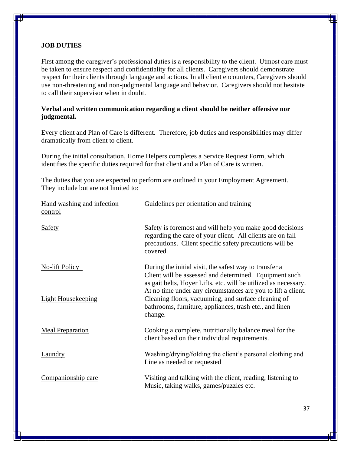### **JOB DUTIES**

First among the caregiver's professional duties is a responsibility to the client. Utmost care must be taken to ensure respect and confidentiality for all clients. Caregivers should demonstrate respect for their clients through language and actions. In all client encounters, Caregivers should use non-threatening and non-judgmental language and behavior. Caregivers should not hesitate to call their supervisor when in doubt.

# **Verbal and written communication regarding a client should be neither offensive nor judgmental.**

Every client and Plan of Care is different. Therefore, job duties and responsibilities may differ dramatically from client to client.

During the initial consultation, Home Helpers completes a Service Request Form, which identifies the specific duties required for that client and a Plan of Care is written.

The duties that you are expected to perform are outlined in your Employment Agreement. They include but are not limited to:

| Hand washing and infection<br>control | Guidelines per orientation and training                                                                                                                                                                                                             |
|---------------------------------------|-----------------------------------------------------------------------------------------------------------------------------------------------------------------------------------------------------------------------------------------------------|
| <b>Safety</b>                         | Safety is foremost and will help you make good decisions<br>regarding the care of your client. All clients are on fall<br>precautions. Client specific safety precautions will be<br>covered.                                                       |
| No-lift Policy                        | During the initial visit, the safest way to transfer a<br>Client will be assessed and determined. Equipment such<br>as gait belts, Hoyer Lifts, etc. will be utilized as necessary.<br>At no time under any circumstances are you to lift a client. |
| <b>Light Housekeeping</b>             | Cleaning floors, vacuuming, and surface cleaning of<br>bathrooms, furniture, appliances, trash etc., and linen<br>change.                                                                                                                           |
| <b>Meal Preparation</b>               | Cooking a complete, nutritionally balance meal for the<br>client based on their individual requirements.                                                                                                                                            |
| <b>Laundry</b>                        | Washing/drying/folding the client's personal clothing and<br>Line as needed or requested                                                                                                                                                            |
| Companionship care                    | Visiting and talking with the client, reading, listening to<br>Music, taking walks, games/puzzles etc.                                                                                                                                              |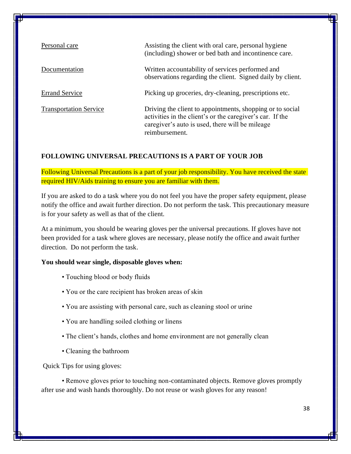| Personal care                 | Assisting the client with oral care, personal hygiene<br>(including) shower or bed bath and incontinence care.                                                                              |
|-------------------------------|---------------------------------------------------------------------------------------------------------------------------------------------------------------------------------------------|
| Documentation                 | Written accountability of services performed and<br>observations regarding the client. Signed daily by client.                                                                              |
| <b>Errand Service</b>         | Picking up groceries, dry-cleaning, prescriptions etc.                                                                                                                                      |
| <b>Transportation Service</b> | Driving the client to appointments, shopping or to social<br>activities in the client's or the caregiver's car. If the<br>caregiver's auto is used, there will be mileage<br>reimbursement. |

# **FOLLOWING UNIVERSAL PRECAUTIONS IS A PART OF YOUR JOB**

Following Universal Precautions is a part of your job responsibility. You have received the state required HIV/Aids training to ensure you are familiar with them.

If you are asked to do a task where you do not feel you have the proper safety equipment, please notify the office and await further direction. Do not perform the task. This precautionary measure is for your safety as well as that of the client.

At a minimum, you should be wearing gloves per the universal precautions. If gloves have not been provided for a task where gloves are necessary, please notify the office and await further direction. Do not perform the task.

#### **You should wear single, disposable gloves when:**

- Touching blood or body fluids
- You or the care recipient has broken areas of skin
- You are assisting with personal care, such as cleaning stool or urine
- You are handling soiled clothing or linens
- The client's hands, clothes and home environment are not generally clean
- Cleaning the bathroom

Quick Tips for using gloves:

• Remove gloves prior to touching non-contaminated objects. Remove gloves promptly after use and wash hands thoroughly. Do not reuse or wash gloves for any reason!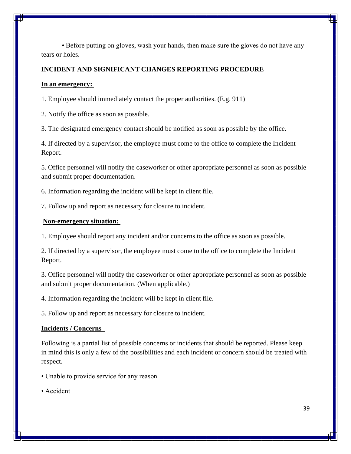• Before putting on gloves, wash your hands, then make sure the gloves do not have any tears or holes.

### **INCIDENT AND SIGNIFICANT CHANGES REPORTING PROCEDURE**

#### **In an emergency:**

1. Employee should immediately contact the proper authorities. (E.g. 911)

2. Notify the office as soon as possible.

3. The designated emergency contact should be notified as soon as possible by the office.

4. If directed by a supervisor, the employee must come to the office to complete the Incident Report.

5. Office personnel will notify the caseworker or other appropriate personnel as soon as possible and submit proper documentation.

6. Information regarding the incident will be kept in client file.

7. Follow up and report as necessary for closure to incident.

#### **Non-emergency situation:**

1. Employee should report any incident and/or concerns to the office as soon as possible.

2. If directed by a supervisor, the employee must come to the office to complete the Incident Report.

3. Office personnel will notify the caseworker or other appropriate personnel as soon as possible and submit proper documentation. (When applicable.)

4. Information regarding the incident will be kept in client file.

5. Follow up and report as necessary for closure to incident.

#### **Incidents / Concerns**

Following is a partial list of possible concerns or incidents that should be reported. Please keep in mind this is only a few of the possibilities and each incident or concern should be treated with respect.

- Unable to provide service for any reason
- Accident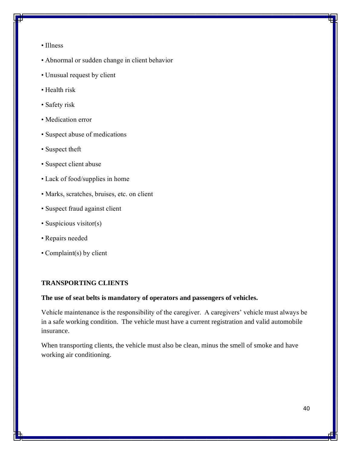- Illness
- Abnormal or sudden change in client behavior
- Unusual request by client
- Health risk
- Safety risk
- Medication error
- Suspect abuse of medications
- Suspect theft
- Suspect client abuse
- Lack of food/supplies in home
- Marks, scratches, bruises, etc. on client
- Suspect fraud against client
- Suspicious visitor(s)
- Repairs needed
- Complaint(s) by client

### **TRANSPORTING CLIENTS**

#### **The use of seat belts is mandatory of operators and passengers of vehicles.**

Vehicle maintenance is the responsibility of the caregiver. A caregivers' vehicle must always be in a safe working condition. The vehicle must have a current registration and valid automobile insurance.

When transporting clients, the vehicle must also be clean, minus the smell of smoke and have working air conditioning.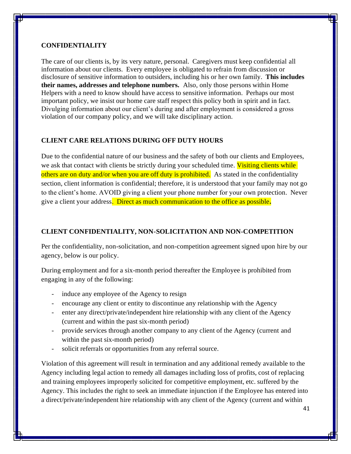### **CONFIDENTIALITY**

The care of our clients is, by its very nature, personal. Caregivers must keep confidential all information about our clients. Every employee is obligated to refrain from discussion or disclosure of sensitive information to outsiders, including his or her own family. **This includes their names, addresses and telephone numbers.** Also, only those persons within Home Helpers with a need to know should have access to sensitive information. Perhaps our most important policy, we insist our home care staff respect this policy both in spirit and in fact. Divulging information about our client's during and after employment is considered a gross violation of our company policy, and we will take disciplinary action.

### **CLIENT CARE RELATIONS DURING OFF DUTY HOURS**

Due to the confidential nature of our business and the safety of both our clients and Employees, we ask that contact with clients be strictly during your scheduled time. Visiting clients while others are on duty and/or when you are off duty is prohibited. As stated in the confidentiality section, client information is confidential; therefore, it is understood that your family may not go to the client's home. AVOID giving a client your phone number for your own protection. Never give a client your address. Direct as much communication to the office as possible**.**

### **CLIENT CONFIDENTIALITY, NON-SOLICITATION AND NON-COMPETITION**

Per the confidentiality, non-solicitation, and non-competition agreement signed upon hire by our agency, below is our policy.

During employment and for a six-month period thereafter the Employee is prohibited from engaging in any of the following:

- induce any employee of the Agency to resign
- encourage any client or entity to discontinue any relationship with the Agency
- enter any direct/private/independent hire relationship with any client of the Agency (current and within the past six-month period)
- provide services through another company to any client of the Agency (current and within the past six-month period)
- solicit referrals or opportunities from any referral source.

Violation of this agreement will result in termination and any additional remedy available to the Agency including legal action to remedy all damages including loss of profits, cost of replacing and training employees improperly solicited for competitive employment, etc. suffered by the Agency. This includes the right to seek an immediate injunction if the Employee has entered into a direct/private/independent hire relationship with any client of the Agency (current and within

41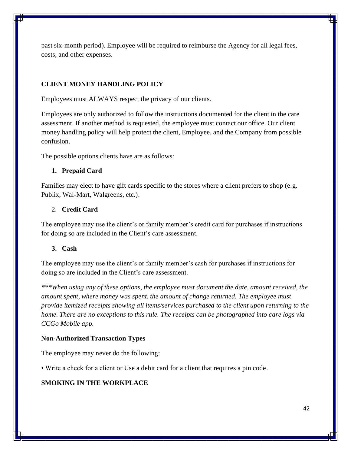past six-month period). Employee will be required to reimburse the Agency for all legal fees, costs, and other expenses.

# **CLIENT MONEY HANDLING POLICY**

Employees must ALWAYS respect the privacy of our clients.

Employees are only authorized to follow the instructions documented for the client in the care assessment. If another method is requested, the employee must contact our office. Our client money handling policy will help protect the client, Employee, and the Company from possible confusion.

The possible options clients have are as follows:

### **1. Prepaid Card**

Families may elect to have gift cards specific to the stores where a client prefers to shop (e.g. Publix, Wal-Mart, Walgreens, etc.).

### 2. **Credit Card**

The employee may use the client's or family member's credit card for purchases if instructions for doing so are included in the Client's care assessment.

#### **3. Cash**

The employee may use the client's or family member's cash for purchases if instructions for doing so are included in the Client's care assessment.

*\*\*\*When using any of these options, the employee must document the date, amount received, the amount spent, where money was spent, the amount of change returned. The employee must provide itemized receipts showing all items/services purchased to the client upon returning to the home. There are no exceptions to this rule. The receipts can be photographed into care logs via CCGo Mobile app.*

#### **Non-Authorized Transaction Types**

The employee may never do the following:

• Write a check for a client or Use a debit card for a client that requires a pin code.

### **SMOKING IN THE WORKPLACE**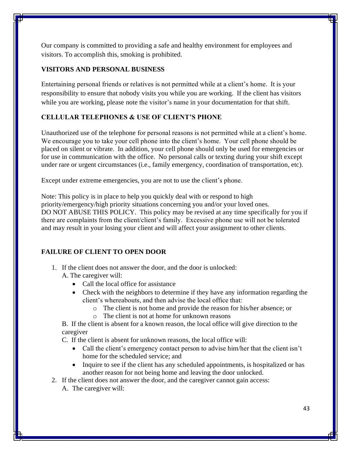Our company is committed to providing a safe and healthy environment for employees and visitors. To accomplish this, smoking is prohibited.

### **VISITORS AND PERSONAL BUSINESS**

Entertaining personal friends or relatives is not permitted while at a client's home. It is your responsibility to ensure that nobody visits you while you are working. If the client has visitors while you are working, please note the visitor's name in your documentation for that shift.

# **CELLULAR TELEPHONES & USE OF CLIENT'S PHONE**

Unauthorized use of the telephone for personal reasons is not permitted while at a client's home. We encourage you to take your cell phone into the client's home. Your cell phone should be placed on silent or vibrate. In addition, your cell phone should only be used for emergencies or for use in communication with the office. No personal calls or texting during your shift except under rare or urgent circumstances (i.e., family emergency, coordination of transportation, etc).

Except under extreme emergencies, you are not to use the client's phone.

Note: This policy is in place to help you quickly deal with or respond to high priority/emergency/high priority situations concerning you and/or your loved ones. DO NOT ABUSE THIS POLICY. This policy may be revised at any time specifically for you if there are complaints from the client/client's family. Excessive phone use will not be tolerated and may result in your losing your client and will affect your assignment to other clients.

# **FAILURE OF CLIENT TO OPEN DOOR**

- 1. If the client does not answer the door, and the door is unlocked:
	- A. The caregiver will:
		- Call the local office for assistance
		- Check with the neighbors to determine if they have any information regarding the client's whereabouts, and then advise the local office that:
			- o The client is not home and provide the reason for his/her absence; or
			- o The client is not at home for unknown reasons

B. If the client is absent for a known reason, the local office will give direction to the caregiver

C. If the client is absent for unknown reasons, the local office will:

- Call the client's emergency contact person to advise him/her that the client isn't home for the scheduled service; and
- Inquire to see if the client has any scheduled appointments, is hospitalized or has another reason for not being home and leaving the door unlocked.
- 2. If the client does not answer the door, and the caregiver cannot gain access:
	- A. The caregiver will: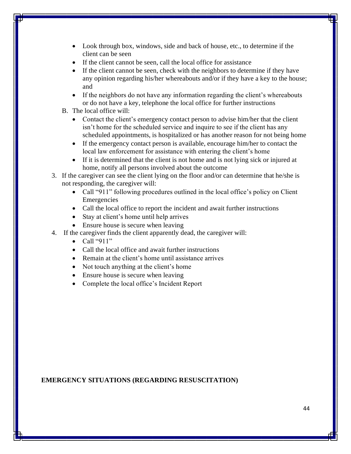- Look through box, windows, side and back of house, etc., to determine if the client can be seen
- If the client cannot be seen, call the local office for assistance
- If the client cannot be seen, check with the neighbors to determine if they have any opinion regarding his/her whereabouts and/or if they have a key to the house; and
- If the neighbors do not have any information regarding the client's whereabouts or do not have a key, telephone the local office for further instructions
- B. The local office will:
	- Contact the client's emergency contact person to advise him/her that the client isn't home for the scheduled service and inquire to see if the client has any scheduled appointments, is hospitalized or has another reason for not being home
	- If the emergency contact person is available, encourage him/her to contact the local law enforcement for assistance with entering the client's home
	- If it is determined that the client is not home and is not lying sick or injured at home, notify all persons involved about the outcome
- 3. If the caregiver can see the client lying on the floor and/or can determine that he/she is not responding, the caregiver will:
	- Call "911" following procedures outlined in the local office's policy on Client Emergencies
	- Call the local office to report the incident and await further instructions
	- Stay at client's home until help arrives
	- Ensure house is secure when leaving
- 4. If the caregiver finds the client apparently dead, the caregiver will:
	- $\bullet$  Call "911"
	- Call the local office and await further instructions
	- Remain at the client's home until assistance arrives
	- Not touch anything at the client's home
	- Ensure house is secure when leaving
	- Complete the local office's Incident Report

# **EMERGENCY SITUATIONS (REGARDING RESUSCITATION)**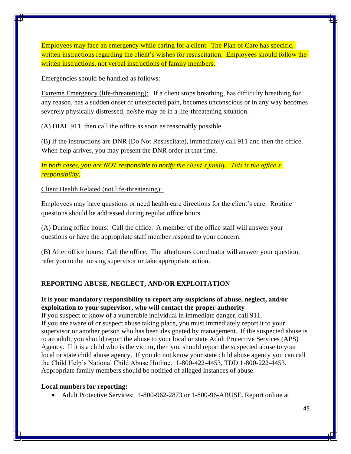Employees may face an emergency while caring for a client. The Plan of Care has specific, written instructions regarding the client's wishes for resuscitation. Employees should follow the written instructions, not verbal instructions of family members.

Emergencies should be handled as follows:

Extreme Emergency (life-threatening): If a client stops breathing, has difficulty breathing for any reason, has a sudden onset of unexpected pain, becomes unconscious or in any way becomes severely physically distressed, he/she may be in a life-threatening situation.

(A) DIAL 911, then call the office as soon as reasonably possible.

(B) If the instructions are DNR (Do Not Resuscitate), immediately call 911 and then the office. When help arrives, you may present the DNR order at that time.

*In both cases, you are NOT responsible to notify the client's family. This is the office's responsibility.*

Client Health Related (not life-threatening):

Employees may have questions or need health care directions for the client's care. Routine questions should be addressed during regular office hours.

(A) During office hours: Call the office. A member of the office staff will answer your questions or have the appropriate staff member respond to your concern.

(B) After office hours: Call the office. The afterhours coordinator will answer your question, refer you to the nursing supervisor or take appropriate action.

### **REPORTING ABUSE, NEGLECT, AND/OR EXPLOITATION**

### **It is your mandatory responsibility to report any suspicions of abuse, neglect, and/or exploitation to your supervisor, who will contact the proper authority**

If you suspect or know of a vulnerable individual in immediate danger, call 911. If you are aware of or suspect abuse taking place, you must immediately report it to your supervisor or another person who has been designated by management. If the suspected abuse is to an adult, you should report the abuse to your local or state Adult Protective Services (APS) Agency. If it is a child who is the victim, then you should report the suspected abuse to your local or state child abuse agency. If you do not know your state child abuse agency you can call the Child Help's National Child Abuse Hotline. 1-800-422-4453, TDD 1-800-222-4453. Appropriate family members should be notified of alleged instances of abuse.

#### **Local numbers for reporting:**

• Adult Protective Services: 1-800-962-2873 or 1-800-96-ABUSE. Report online at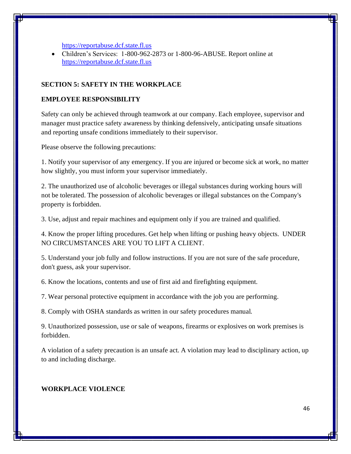[https://reportabuse.dcf.state.fl.us](https://reportabuse.dcf.state.fl.us/)

• Children's Services: 1-800-962-2873 or 1-800-96-ABUSE. Report online at [https://reportabuse.dcf.state.fl.us](https://reportabuse.dcf.state.fl.us/)

### **SECTION 5: SAFETY IN THE WORKPLACE**

### **EMPLOYEE RESPONSIBILITY**

Safety can only be achieved through teamwork at our company. Each employee, supervisor and manager must practice safety awareness by thinking defensively, anticipating unsafe situations and reporting unsafe conditions immediately to their supervisor.

Please observe the following precautions:

1. Notify your supervisor of any emergency. If you are injured or become sick at work, no matter how slightly, you must inform your supervisor immediately.

2. The unauthorized use of alcoholic beverages or illegal substances during working hours will not be tolerated. The possession of alcoholic beverages or illegal substances on the Company's property is forbidden.

3. Use, adjust and repair machines and equipment only if you are trained and qualified.

4. Know the proper lifting procedures. Get help when lifting or pushing heavy objects. UNDER NO CIRCUMSTANCES ARE YOU TO LIFT A CLIENT.

5. Understand your job fully and follow instructions. If you are not sure of the safe procedure, don't guess, ask your supervisor.

6. Know the locations, contents and use of first aid and firefighting equipment.

7. Wear personal protective equipment in accordance with the job you are performing.

8. Comply with OSHA standards as written in our safety procedures manual.

9. Unauthorized possession, use or sale of weapons, firearms or explosives on work premises is forbidden.

A violation of a safety precaution is an unsafe act. A violation may lead to disciplinary action, up to and including discharge.

#### **WORKPLACE VIOLENCE**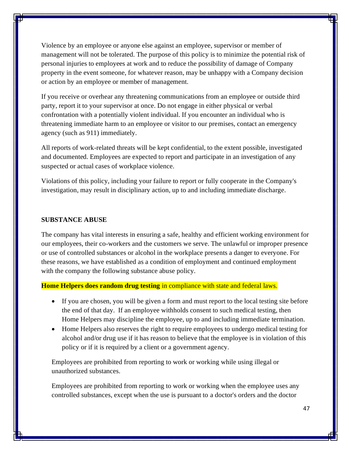Violence by an employee or anyone else against an employee, supervisor or member of management will not be tolerated. The purpose of this policy is to minimize the potential risk of personal injuries to employees at work and to reduce the possibility of damage of Company property in the event someone, for whatever reason, may be unhappy with a Company decision or action by an employee or member of management.

If you receive or overhear any threatening communications from an employee or outside third party, report it to your supervisor at once. Do not engage in either physical or verbal confrontation with a potentially violent individual. If you encounter an individual who is threatening immediate harm to an employee or visitor to our premises, contact an emergency agency (such as 911) immediately.

All reports of work-related threats will be kept confidential, to the extent possible, investigated and documented. Employees are expected to report and participate in an investigation of any suspected or actual cases of workplace violence.

Violations of this policy, including your failure to report or fully cooperate in the Company's investigation, may result in disciplinary action, up to and including immediate discharge.

#### **SUBSTANCE ABUSE**

The company has vital interests in ensuring a safe, healthy and efficient working environment for our employees, their co-workers and the customers we serve. The unlawful or improper presence or use of controlled substances or alcohol in the workplace presents a danger to everyone. For these reasons, we have established as a condition of employment and continued employment with the company the following substance abuse policy.

#### **Home Helpers does random drug testing** in compliance with state and federal laws.

- If you are chosen, you will be given a form and must report to the local testing site before the end of that day. If an employee withholds consent to such medical testing, then Home Helpers may discipline the employee, up to and including immediate termination.
- Home Helpers also reserves the right to require employees to undergo medical testing for alcohol and/or drug use if it has reason to believe that the employee is in violation of this policy or if it is required by a client or a government agency.

Employees are prohibited from reporting to work or working while using illegal or unauthorized substances.

Employees are prohibited from reporting to work or working when the employee uses any controlled substances, except when the use is pursuant to a doctor's orders and the doctor